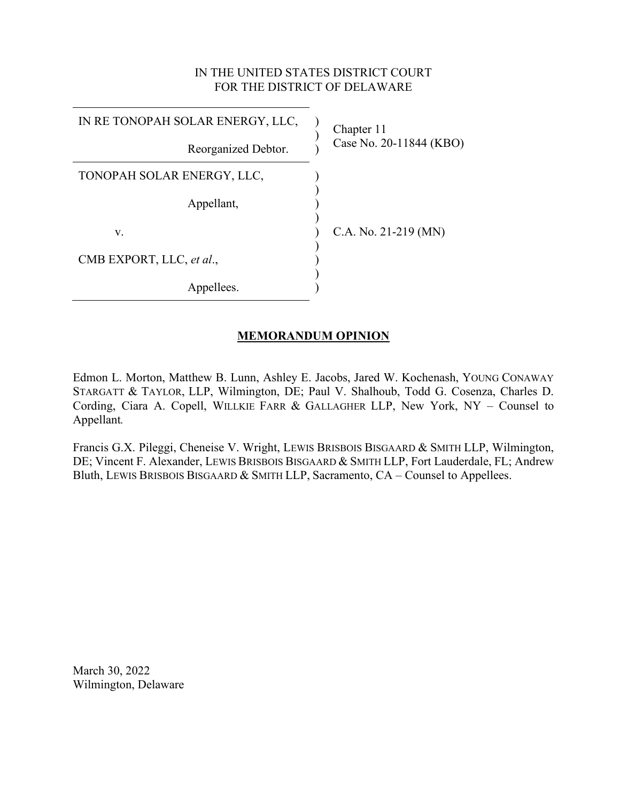# IN THE UNITED STATES DISTRICT COURT FOR THE DISTRICT OF DELAWARE

| IN RE TONOPAH SOLAR ENERGY, LLC, | Chapter 11<br>Case No. 20-11844 (KBO) |
|----------------------------------|---------------------------------------|
| Reorganized Debtor.              |                                       |
| TONOPAH SOLAR ENERGY, LLC,       |                                       |
| Appellant,                       |                                       |
| V.                               | C.A. No. 21-219 (MN)                  |
| CMB EXPORT, LLC, et al.,         |                                       |
| Appellees.                       |                                       |

# **MEMORANDUM OPINION**

Edmon L. Morton, Matthew B. Lunn, Ashley E. Jacobs, Jared W. Kochenash, YOUNG CONAWAY STARGATT & TAYLOR, LLP, Wilmington, DE; Paul V. Shalhoub, Todd G. Cosenza, Charles D. Cording, Ciara A. Copell, WILLKIE FARR & GALLAGHER LLP, New York, NY – Counsel to Appellant*.*

Francis G.X. Pileggi, Cheneise V. Wright, LEWIS BRISBOIS BISGAARD & SMITH LLP, Wilmington, DE; Vincent F. Alexander, LEWIS BRISBOIS BISGAARD & SMITH LLP, Fort Lauderdale, FL; Andrew Bluth, LEWIS BRISBOIS BISGAARD & SMITH LLP, Sacramento, CA – Counsel to Appellees.

March 30, 2022 Wilmington, Delaware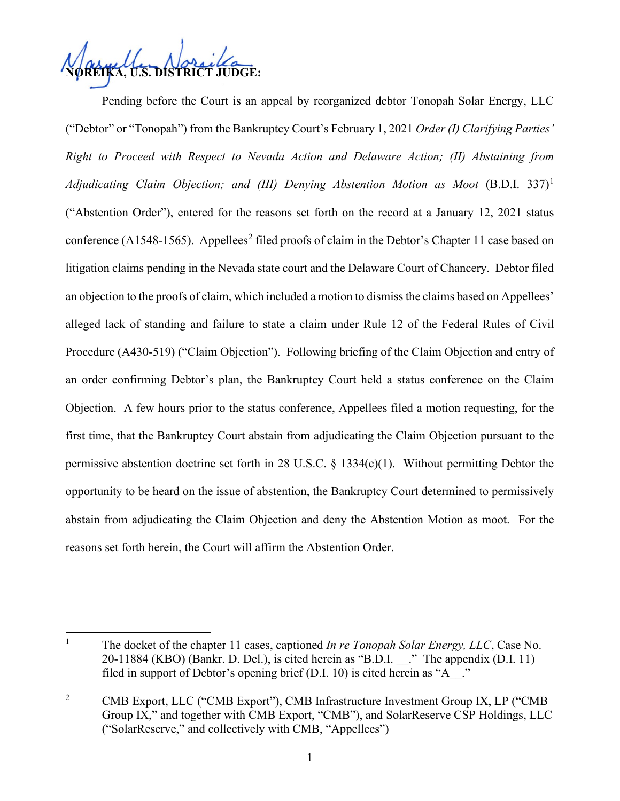

Pending before the Court is an appeal by reorganized debtor Tonopah Solar Energy, LLC ("Debtor" or "Tonopah") from the Bankruptcy Court's February 1, 2021 *Order (I) Clarifying Parties' Right to Proceed with Respect to Nevada Action and Delaware Action; (II) Abstaining from Adjudicating Claim Objection; and (III) Denying Abstention Motion as Moot* (B.D.I. 337) [1](#page-1-0) ("Abstention Order"), entered for the reasons set forth on the record at a January 12, 2021 status conference (A1548-1565). Appellees<sup>[2](#page-1-1)</sup> filed proofs of claim in the Debtor's Chapter 11 case based on litigation claims pending in the Nevada state court and the Delaware Court of Chancery. Debtor filed an objection to the proofs of claim, which included a motion to dismiss the claims based on Appellees' alleged lack of standing and failure to state a claim under Rule 12 of the Federal Rules of Civil Procedure (A430-519) ("Claim Objection"). Following briefing of the Claim Objection and entry of an order confirming Debtor's plan, the Bankruptcy Court held a status conference on the Claim Objection. A few hours prior to the status conference, Appellees filed a motion requesting, for the first time, that the Bankruptcy Court abstain from adjudicating the Claim Objection pursuant to the permissive abstention doctrine set forth in 28 U.S.C. § 1334(c)(1). Without permitting Debtor the opportunity to be heard on the issue of abstention, the Bankruptcy Court determined to permissively abstain from adjudicating the Claim Objection and deny the Abstention Motion as moot. For the reasons set forth herein, the Court will affirm the Abstention Order.

<span id="page-1-0"></span><sup>&</sup>lt;sup>1</sup> The docket of the chapter 11 cases, captioned *In re Tonopah Solar Energy, LLC*, Case No.  $20-11884$  (KBO) (Bankr. D. Del.), is cited herein as "B.D.I.  $\therefore$ " The appendix (D.I. 11) filed in support of Debtor's opening brief (D.I. 10) is cited herein as "A\_\_."

<span id="page-1-1"></span><sup>&</sup>lt;sup>2</sup> CMB Export, LLC ("CMB Export"), CMB Infrastructure Investment Group IX, LP ("CMB Group IX," and together with CMB Export, "CMB"), and SolarReserve CSP Holdings, LLC ("SolarReserve," and collectively with CMB, "Appellees")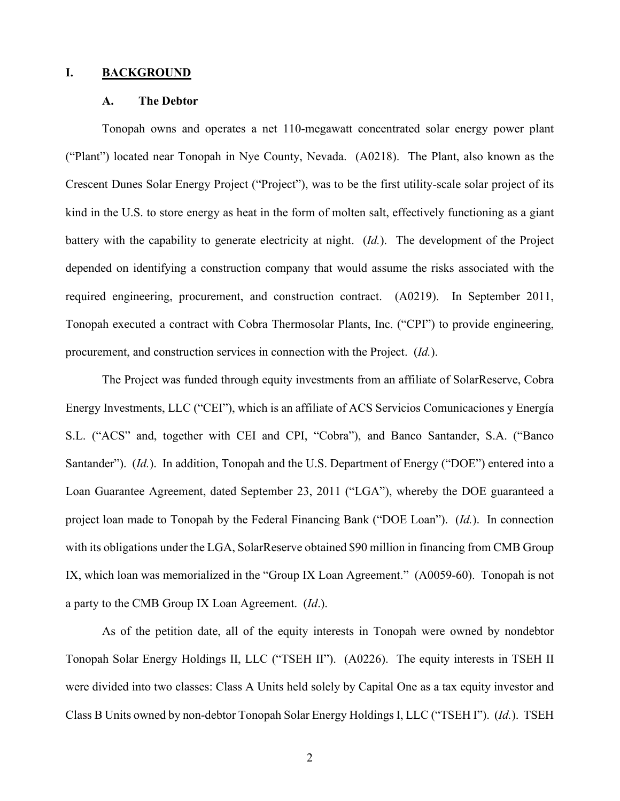### **I. BACKGROUND**

#### **A. The Debtor**

Tonopah owns and operates a net 110-megawatt concentrated solar energy power plant ("Plant") located near Tonopah in Nye County, Nevada. (A0218). The Plant, also known as the Crescent Dunes Solar Energy Project ("Project"), was to be the first utility-scale solar project of its kind in the U.S. to store energy as heat in the form of molten salt, effectively functioning as a giant battery with the capability to generate electricity at night. (*Id.*). The development of the Project depended on identifying a construction company that would assume the risks associated with the required engineering, procurement, and construction contract. (A0219). In September 2011, Tonopah executed a contract with Cobra Thermosolar Plants, Inc. ("CPI") to provide engineering, procurement, and construction services in connection with the Project. (*Id.*).

The Project was funded through equity investments from an affiliate of SolarReserve, Cobra Energy Investments, LLC ("CEI"), which is an affiliate of ACS Servicios Comunicaciones y Energía S.L. ("ACS" and, together with CEI and CPI, "Cobra"), and Banco Santander, S.A. ("Banco Santander"). (*Id.*). In addition, Tonopah and the U.S. Department of Energy ("DOE") entered into a Loan Guarantee Agreement, dated September 23, 2011 ("LGA"), whereby the DOE guaranteed a project loan made to Tonopah by the Federal Financing Bank ("DOE Loan"). (*Id.*). In connection with its obligations under the LGA, SolarReserve obtained \$90 million in financing from CMB Group IX, which loan was memorialized in the "Group IX Loan Agreement." (A0059-60). Tonopah is not a party to the CMB Group IX Loan Agreement. (*Id*.).

As of the petition date, all of the equity interests in Tonopah were owned by nondebtor Tonopah Solar Energy Holdings II, LLC ("TSEH II"). (A0226). The equity interests in TSEH II were divided into two classes: Class A Units held solely by Capital One as a tax equity investor and Class B Units owned by non-debtor Tonopah Solar Energy Holdings I, LLC ("TSEH I"). (*Id.*). TSEH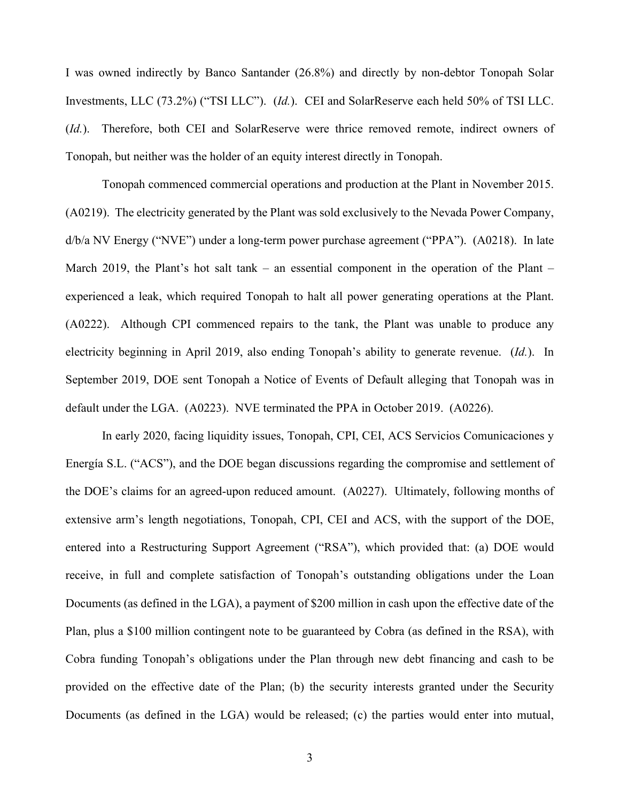I was owned indirectly by Banco Santander (26.8%) and directly by non-debtor Tonopah Solar Investments, LLC (73.2%) ("TSI LLC"). (*Id.*). CEI and SolarReserve each held 50% of TSI LLC. (*Id.*). Therefore, both CEI and SolarReserve were thrice removed remote, indirect owners of Tonopah, but neither was the holder of an equity interest directly in Tonopah.

Tonopah commenced commercial operations and production at the Plant in November 2015. (A0219). The electricity generated by the Plant was sold exclusively to the Nevada Power Company, d/b/a NV Energy ("NVE") under a long-term power purchase agreement ("PPA"). (A0218). In late March 2019, the Plant's hot salt tank – an essential component in the operation of the Plant – experienced a leak, which required Tonopah to halt all power generating operations at the Plant. (A0222). Although CPI commenced repairs to the tank, the Plant was unable to produce any electricity beginning in April 2019, also ending Tonopah's ability to generate revenue. (*Id.*). In September 2019, DOE sent Tonopah a Notice of Events of Default alleging that Tonopah was in default under the LGA. (A0223). NVE terminated the PPA in October 2019. (A0226).

In early 2020, facing liquidity issues, Tonopah, CPI, CEI, ACS Servicios Comunicaciones y Energía S.L. ("ACS"), and the DOE began discussions regarding the compromise and settlement of the DOE's claims for an agreed-upon reduced amount. (A0227). Ultimately, following months of extensive arm's length negotiations, Tonopah, CPI, CEI and ACS, with the support of the DOE, entered into a Restructuring Support Agreement ("RSA"), which provided that: (a) DOE would receive, in full and complete satisfaction of Tonopah's outstanding obligations under the Loan Documents (as defined in the LGA), a payment of \$200 million in cash upon the effective date of the Plan, plus a \$100 million contingent note to be guaranteed by Cobra (as defined in the RSA), with Cobra funding Tonopah's obligations under the Plan through new debt financing and cash to be provided on the effective date of the Plan; (b) the security interests granted under the Security Documents (as defined in the LGA) would be released; (c) the parties would enter into mutual,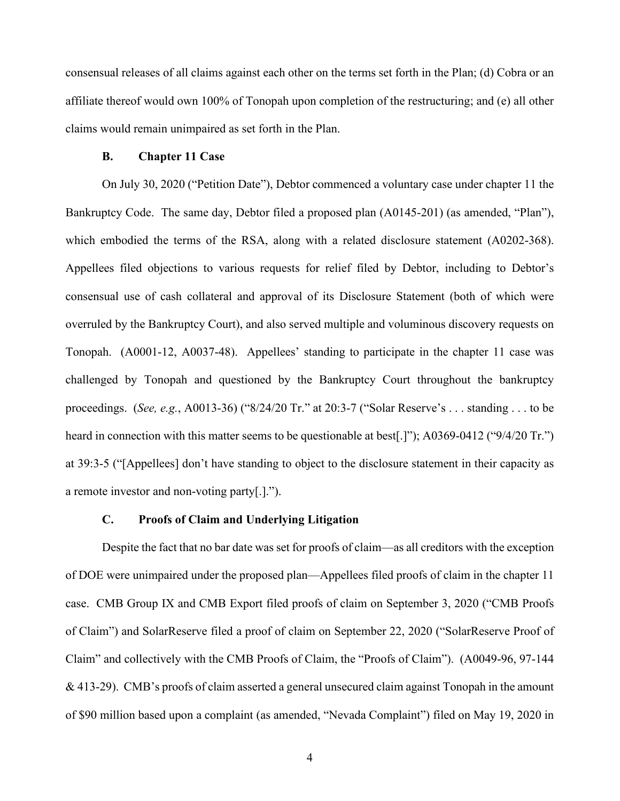consensual releases of all claims against each other on the terms set forth in the Plan; (d) Cobra or an affiliate thereof would own 100% of Tonopah upon completion of the restructuring; and (e) all other claims would remain unimpaired as set forth in the Plan.

### **B. Chapter 11 Case**

On July 30, 2020 ("Petition Date"), Debtor commenced a voluntary case under chapter 11 the Bankruptcy Code. The same day, Debtor filed a proposed plan (A0145-201) (as amended, "Plan"), which embodied the terms of the RSA, along with a related disclosure statement (A0202-368). Appellees filed objections to various requests for relief filed by Debtor, including to Debtor's consensual use of cash collateral and approval of its Disclosure Statement (both of which were overruled by the Bankruptcy Court), and also served multiple and voluminous discovery requests on Tonopah. (A0001-12, A0037-48). Appellees' standing to participate in the chapter 11 case was challenged by Tonopah and questioned by the Bankruptcy Court throughout the bankruptcy proceedings. (*See, e.g.*, A0013-36) ("8/24/20 Tr." at 20:3-7 ("Solar Reserve's . . . standing . . . to be heard in connection with this matter seems to be questionable at best[.]"); A0369-0412 ("9/4/20 Tr.") at 39:3-5 ("[Appellees] don't have standing to object to the disclosure statement in their capacity as a remote investor and non-voting party[.].").

# **C. Proofs of Claim and Underlying Litigation**

Despite the fact that no bar date was set for proofs of claim—as all creditors with the exception of DOE were unimpaired under the proposed plan—Appellees filed proofs of claim in the chapter 11 case. CMB Group IX and CMB Export filed proofs of claim on September 3, 2020 ("CMB Proofs of Claim") and SolarReserve filed a proof of claim on September 22, 2020 ("SolarReserve Proof of Claim" and collectively with the CMB Proofs of Claim, the "Proofs of Claim"). (A0049-96, 97-144  $\&$  413-29). CMB's proofs of claim asserted a general unsecured claim against Tonopah in the amount of \$90 million based upon a complaint (as amended, "Nevada Complaint") filed on May 19, 2020 in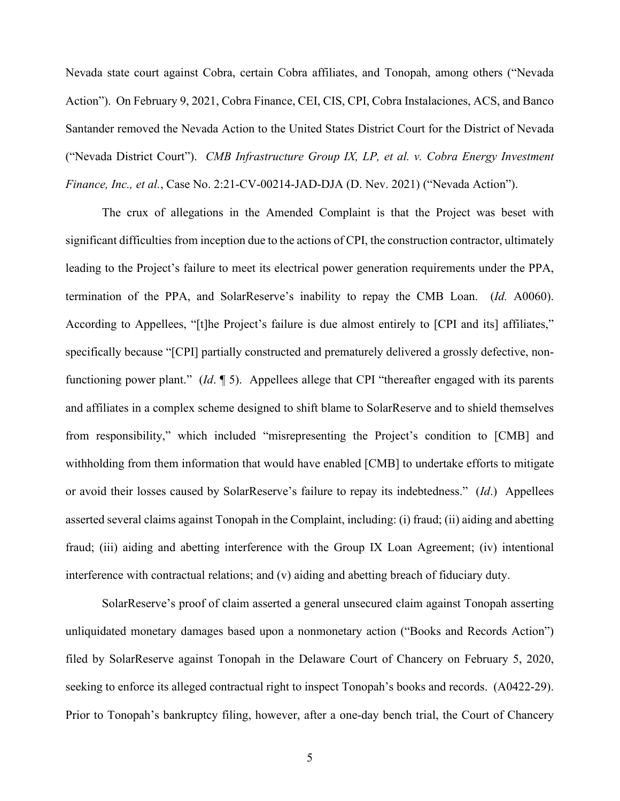Nevada state court against Cobra, certain Cobra affiliates, and Tonopah, among others ("Nevada Action"). On February 9, 2021, Cobra Finance, CEI, CIS, CPI, Cobra Instalaciones, ACS, and Banco Santander removed the Nevada Action to the United States District Court for the District of Nevada ("Nevada District Court"). *CMB Infrastructure Group IX, LP, et al. v. Cobra Energy Investment Finance, Inc., et al.*, Case No. 2:21-CV-00214-JAD-DJA (D. Nev. 2021) ("Nevada Action").

The crux of allegations in the Amended Complaint is that the Project was beset with significant difficulties from inception due to the actions of CPI, the construction contractor, ultimately leading to the Project's failure to meet its electrical power generation requirements under the PPA, termination of the PPA, and SolarReserve's inability to repay the CMB Loan. (*Id.* A0060). According to Appellees, "[t]he Project's failure is due almost entirely to [CPI and its] affiliates," specifically because "[CPI] partially constructed and prematurely delivered a grossly defective, nonfunctioning power plant." (*Id*. ¶ 5). Appellees allege that CPI "thereafter engaged with its parents and affiliates in a complex scheme designed to shift blame to SolarReserve and to shield themselves from responsibility," which included "misrepresenting the Project's condition to [CMB] and withholding from them information that would have enabled [CMB] to undertake efforts to mitigate or avoid their losses caused by SolarReserve's failure to repay its indebtedness." (*Id*.) Appellees asserted several claims against Tonopah in the Complaint, including: (i) fraud; (ii) aiding and abetting fraud; (iii) aiding and abetting interference with the Group IX Loan Agreement; (iv) intentional interference with contractual relations; and (v) aiding and abetting breach of fiduciary duty.

SolarReserve's proof of claim asserted a general unsecured claim against Tonopah asserting unliquidated monetary damages based upon a nonmonetary action ("Books and Records Action") filed by SolarReserve against Tonopah in the Delaware Court of Chancery on February 5, 2020, seeking to enforce its alleged contractual right to inspect Tonopah's books and records. (A0422-29). Prior to Tonopah's bankruptcy filing, however, after a one-day bench trial, the Court of Chancery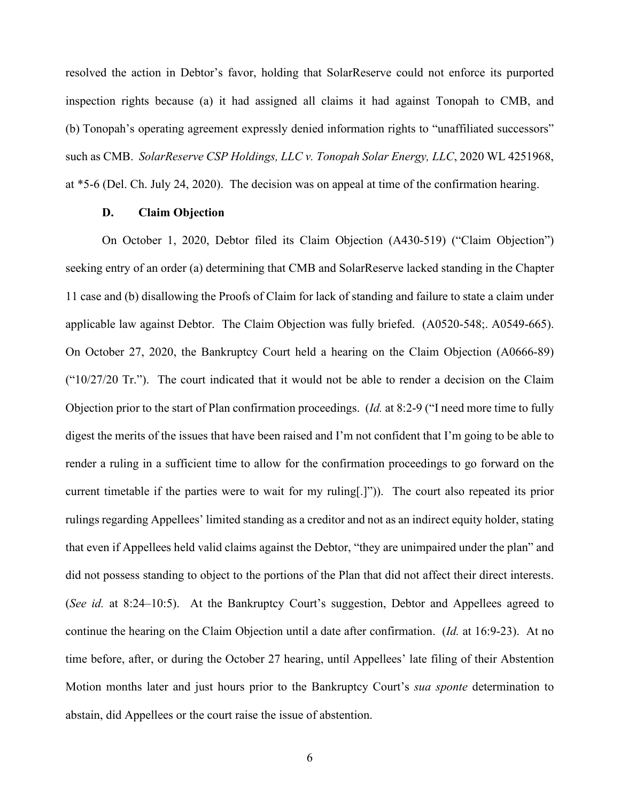resolved the action in Debtor's favor, holding that SolarReserve could not enforce its purported inspection rights because (a) it had assigned all claims it had against Tonopah to CMB, and (b) Tonopah's operating agreement expressly denied information rights to "unaffiliated successors" such as CMB. *SolarReserve CSP Holdings, LLC v. Tonopah Solar Energy, LLC*, 2020 WL 4251968, at \*5-6 (Del. Ch. July 24, 2020). The decision was on appeal at time of the confirmation hearing.

#### **D. Claim Objection**

On October 1, 2020, Debtor filed its Claim Objection (A430-519) ("Claim Objection") seeking entry of an order (a) determining that CMB and SolarReserve lacked standing in the Chapter 11 case and (b) disallowing the Proofs of Claim for lack of standing and failure to state a claim under applicable law against Debtor. The Claim Objection was fully briefed. (A0520-548;. A0549-665). On October 27, 2020, the Bankruptcy Court held a hearing on the Claim Objection (A0666-89)  $("10/27/20$  Tr."). The court indicated that it would not be able to render a decision on the Claim Objection prior to the start of Plan confirmation proceedings. (*Id.* at 8:2-9 ("I need more time to fully digest the merits of the issues that have been raised and I'm not confident that I'm going to be able to render a ruling in a sufficient time to allow for the confirmation proceedings to go forward on the current timetable if the parties were to wait for my ruling[.]")). The court also repeated its prior rulings regarding Appellees' limited standing as a creditor and not as an indirect equity holder, stating that even if Appellees held valid claims against the Debtor, "they are unimpaired under the plan" and did not possess standing to object to the portions of the Plan that did not affect their direct interests. (*See id.* at 8:24–10:5). At the Bankruptcy Court's suggestion, Debtor and Appellees agreed to continue the hearing on the Claim Objection until a date after confirmation. (*Id.* at 16:9-23). At no time before, after, or during the October 27 hearing, until Appellees' late filing of their Abstention Motion months later and just hours prior to the Bankruptcy Court's *sua sponte* determination to abstain, did Appellees or the court raise the issue of abstention.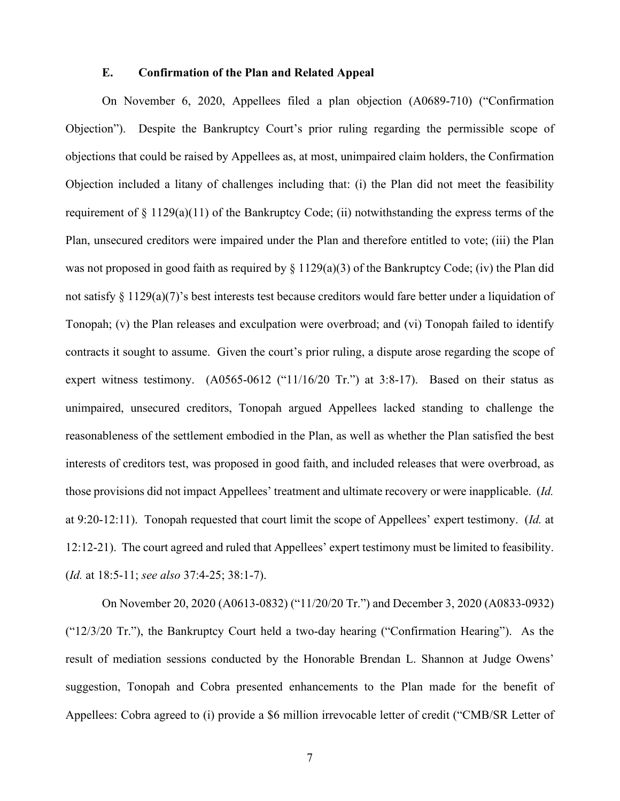### **E. Confirmation of the Plan and Related Appeal**

On November 6, 2020, Appellees filed a plan objection (A0689-710) ("Confirmation Objection"). Despite the Bankruptcy Court's prior ruling regarding the permissible scope of objections that could be raised by Appellees as, at most, unimpaired claim holders, the Confirmation Objection included a litany of challenges including that: (i) the Plan did not meet the feasibility requirement of § 1129(a)(11) of the Bankruptcy Code; (ii) notwithstanding the express terms of the Plan, unsecured creditors were impaired under the Plan and therefore entitled to vote; (iii) the Plan was not proposed in good faith as required by § 1129(a)(3) of the Bankruptcy Code; (iv) the Plan did not satisfy § 1129(a)(7)'s best interests test because creditors would fare better under a liquidation of Tonopah; (v) the Plan releases and exculpation were overbroad; and (vi) Tonopah failed to identify contracts it sought to assume. Given the court's prior ruling, a dispute arose regarding the scope of expert witness testimony. (A0565-0612 ("11/16/20 Tr.") at 3:8-17). Based on their status as unimpaired, unsecured creditors, Tonopah argued Appellees lacked standing to challenge the reasonableness of the settlement embodied in the Plan, as well as whether the Plan satisfied the best interests of creditors test, was proposed in good faith, and included releases that were overbroad, as those provisions did not impact Appellees' treatment and ultimate recovery or were inapplicable. (*Id.*  at 9:20-12:11). Tonopah requested that court limit the scope of Appellees' expert testimony. (*Id.* at 12:12-21). The court agreed and ruled that Appellees' expert testimony must be limited to feasibility. (*Id.* at 18:5-11; *see also* 37:4-25; 38:1-7).

On November 20, 2020 (A0613-0832) ("11/20/20 Tr.") and December 3, 2020 (A0833-0932) ("12/3/20 Tr."), the Bankruptcy Court held a two-day hearing ("Confirmation Hearing"). As the result of mediation sessions conducted by the Honorable Brendan L. Shannon at Judge Owens' suggestion, Tonopah and Cobra presented enhancements to the Plan made for the benefit of Appellees: Cobra agreed to (i) provide a \$6 million irrevocable letter of credit ("CMB/SR Letter of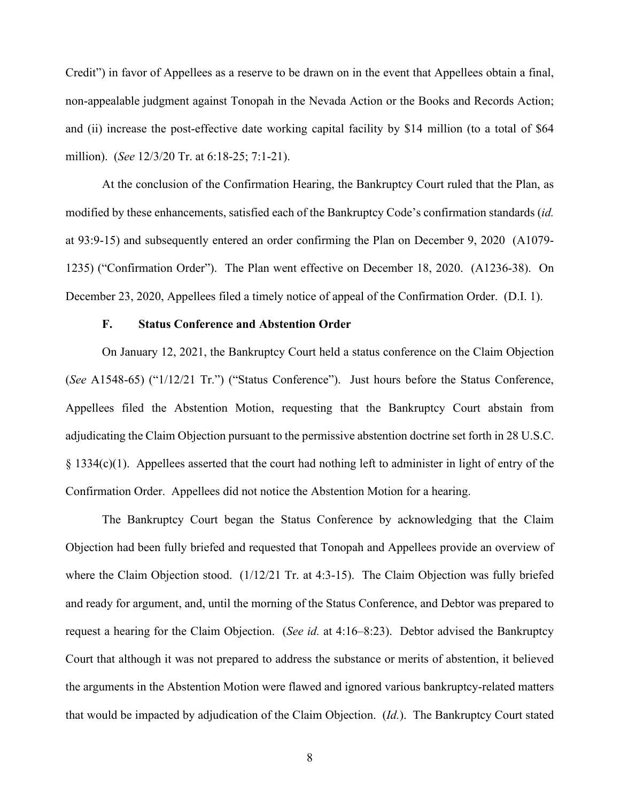Credit") in favor of Appellees as a reserve to be drawn on in the event that Appellees obtain a final, non-appealable judgment against Tonopah in the Nevada Action or the Books and Records Action; and (ii) increase the post-effective date working capital facility by \$14 million (to a total of \$64 million). (*See* 12/3/20 Tr. at 6:18-25; 7:1-21).

At the conclusion of the Confirmation Hearing, the Bankruptcy Court ruled that the Plan, as modified by these enhancements, satisfied each of the Bankruptcy Code's confirmation standards (*id.*  at 93:9-15) and subsequently entered an order confirming the Plan on December 9, 2020 (A1079- 1235) ("Confirmation Order"). The Plan went effective on December 18, 2020. (A1236-38). On December 23, 2020, Appellees filed a timely notice of appeal of the Confirmation Order. (D.I. 1).

#### **F. Status Conference and Abstention Order**

On January 12, 2021, the Bankruptcy Court held a status conference on the Claim Objection (*See* A1548-65) ("1/12/21 Tr.") ("Status Conference"). Just hours before the Status Conference, Appellees filed the Abstention Motion, requesting that the Bankruptcy Court abstain from adjudicating the Claim Objection pursuant to the permissive abstention doctrine set forth in 28 U.S.C.  $§$  1334(c)(1). Appellees asserted that the court had nothing left to administer in light of entry of the Confirmation Order. Appellees did not notice the Abstention Motion for a hearing.

The Bankruptcy Court began the Status Conference by acknowledging that the Claim Objection had been fully briefed and requested that Tonopah and Appellees provide an overview of where the Claim Objection stood. (1/12/21 Tr. at 4:3-15). The Claim Objection was fully briefed and ready for argument, and, until the morning of the Status Conference, and Debtor was prepared to request a hearing for the Claim Objection. (*See id.* at 4:16–8:23). Debtor advised the Bankruptcy Court that although it was not prepared to address the substance or merits of abstention, it believed the arguments in the Abstention Motion were flawed and ignored various bankruptcy-related matters that would be impacted by adjudication of the Claim Objection. (*Id.*). The Bankruptcy Court stated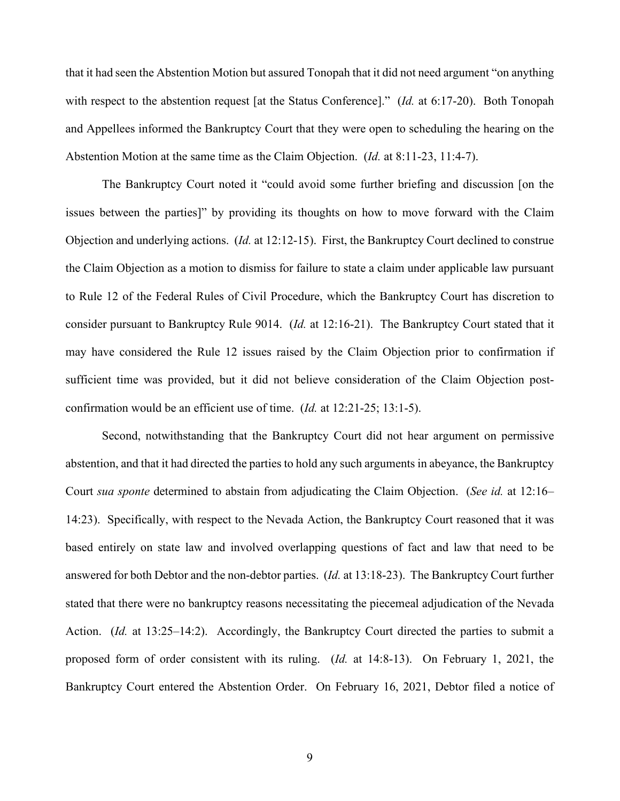that it had seen the Abstention Motion but assured Tonopah that it did not need argument "on anything with respect to the abstention request [at the Status Conference]." (*Id.* at 6:17-20). Both Tonopah and Appellees informed the Bankruptcy Court that they were open to scheduling the hearing on the Abstention Motion at the same time as the Claim Objection. (*Id.* at 8:11-23, 11:4-7).

The Bankruptcy Court noted it "could avoid some further briefing and discussion [on the issues between the parties]" by providing its thoughts on how to move forward with the Claim Objection and underlying actions. (*Id.* at 12:12-15). First, the Bankruptcy Court declined to construe the Claim Objection as a motion to dismiss for failure to state a claim under applicable law pursuant to Rule 12 of the Federal Rules of Civil Procedure, which the Bankruptcy Court has discretion to consider pursuant to Bankruptcy Rule 9014. (*Id.* at 12:16-21). The Bankruptcy Court stated that it may have considered the Rule 12 issues raised by the Claim Objection prior to confirmation if sufficient time was provided, but it did not believe consideration of the Claim Objection postconfirmation would be an efficient use of time. (*Id.* at 12:21-25; 13:1-5).

Second, notwithstanding that the Bankruptcy Court did not hear argument on permissive abstention, and that it had directed the parties to hold any such arguments in abeyance, the Bankruptcy Court *sua sponte* determined to abstain from adjudicating the Claim Objection. (*See id.* at 12:16– 14:23). Specifically, with respect to the Nevada Action, the Bankruptcy Court reasoned that it was based entirely on state law and involved overlapping questions of fact and law that need to be answered for both Debtor and the non-debtor parties. (*Id.* at 13:18-23). The Bankruptcy Court further stated that there were no bankruptcy reasons necessitating the piecemeal adjudication of the Nevada Action. *(Id.* at 13:25–14:2). Accordingly, the Bankruptcy Court directed the parties to submit a proposed form of order consistent with its ruling. (*Id.* at 14:8-13). On February 1, 2021, the Bankruptcy Court entered the Abstention Order. On February 16, 2021, Debtor filed a notice of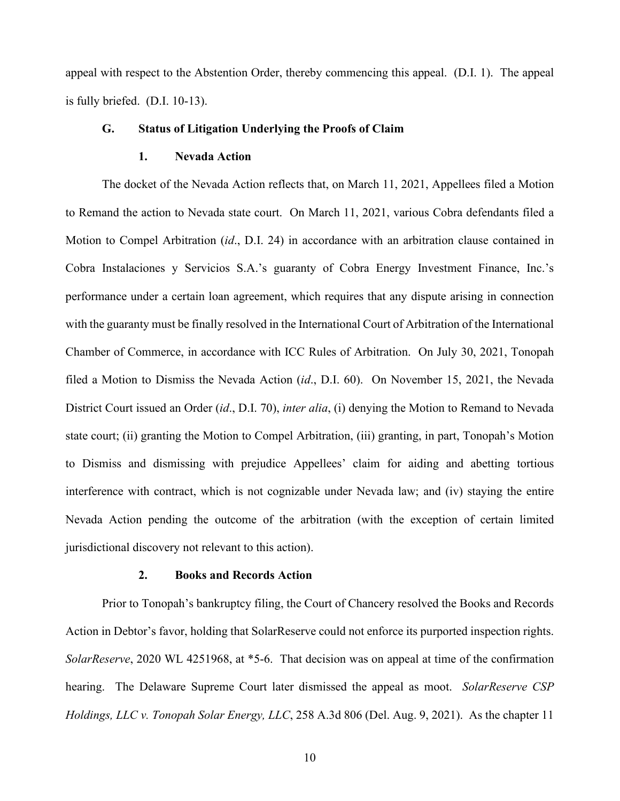appeal with respect to the Abstention Order, thereby commencing this appeal. (D.I. 1). The appeal is fully briefed. (D.I. 10-13).

### **G. Status of Litigation Underlying the Proofs of Claim**

### **1. Nevada Action**

The docket of the Nevada Action reflects that, on March 11, 2021, Appellees filed a Motion to Remand the action to Nevada state court. On March 11, 2021, various Cobra defendants filed a Motion to Compel Arbitration (*id*., D.I. 24) in accordance with an arbitration clause contained in Cobra Instalaciones y Servicios S.A.'s guaranty of Cobra Energy Investment Finance, Inc.'s performance under a certain loan agreement, which requires that any dispute arising in connection with the guaranty must be finally resolved in the International Court of Arbitration of the International Chamber of Commerce, in accordance with ICC Rules of Arbitration. On July 30, 2021, Tonopah filed a Motion to Dismiss the Nevada Action (*id*., D.I. 60). On November 15, 2021, the Nevada District Court issued an Order (*id*., D.I. 70), *inter alia*, (i) denying the Motion to Remand to Nevada state court; (ii) granting the Motion to Compel Arbitration, (iii) granting, in part, Tonopah's Motion to Dismiss and dismissing with prejudice Appellees' claim for aiding and abetting tortious interference with contract, which is not cognizable under Nevada law; and (iv) staying the entire Nevada Action pending the outcome of the arbitration (with the exception of certain limited jurisdictional discovery not relevant to this action).

### **2. Books and Records Action**

Prior to Tonopah's bankruptcy filing, the Court of Chancery resolved the Books and Records Action in Debtor's favor, holding that SolarReserve could not enforce its purported inspection rights. *SolarReserve*, 2020 WL 4251968, at \*5-6. That decision was on appeal at time of the confirmation hearing. The Delaware Supreme Court later dismissed the appeal as moot. *SolarReserve CSP Holdings, LLC v. Tonopah Solar Energy, LLC*, 258 A.3d 806 (Del. Aug. 9, 2021). As the chapter 11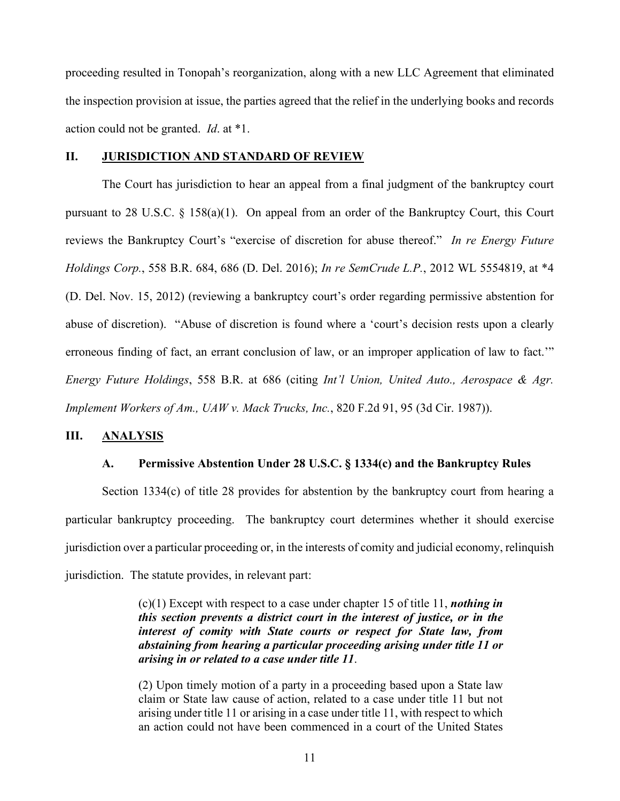proceeding resulted in Tonopah's reorganization, along with a new LLC Agreement that eliminated the inspection provision at issue, the parties agreed that the relief in the underlying books and records action could not be granted. *Id*. at \*1.

# **II. JURISDICTION AND STANDARD OF REVIEW**

The Court has jurisdiction to hear an appeal from a final judgment of the bankruptcy court pursuant to 28 U.S.C. § 158(a)(1). On appeal from an order of the Bankruptcy Court, this Court reviews the Bankruptcy Court's "exercise of discretion for abuse thereof." *In re Energy Future Holdings Corp.*, 558 B.R. 684, 686 (D. Del. 2016); *In re SemCrude L.P.*, 2012 WL 5554819, at \*4 (D. Del. Nov. 15, 2012) (reviewing a bankruptcy court's order regarding permissive abstention for abuse of discretion). "Abuse of discretion is found where a 'court's decision rests upon a clearly erroneous finding of fact, an errant conclusion of law, or an improper application of law to fact.'" *Energy Future Holdings*, 558 B.R. at 686 (citing *Int'l Union, United Auto., Aerospace & Agr. Implement Workers of Am., UAW v. Mack Trucks, Inc.*, 820 F.2d 91, 95 (3d Cir. 1987)).

### **III. ANALYSIS**

#### **A. Permissive Abstention Under 28 U.S.C. § 1334(c) and the Bankruptcy Rules**

Section 1334(c) of title 28 provides for abstention by the bankruptcy court from hearing a particular bankruptcy proceeding. The bankruptcy court determines whether it should exercise jurisdiction over a particular proceeding or, in the interests of comity and judicial economy, relinquish jurisdiction. The statute provides, in relevant part:

> (c)(1) Except with respect to a case under chapter 15 of title 11, *nothing in this section prevents a district court in the interest of justice, or in the interest of comity with State courts or respect for State law, from abstaining from hearing a particular proceeding arising under title 11 or arising in or related to a case under title 11*.

> (2) Upon timely motion of a party in a proceeding based upon a State law claim or State law cause of action, related to a case under title 11 but not arising under title 11 or arising in a case under title 11, with respect to which an action could not have been commenced in a court of the United States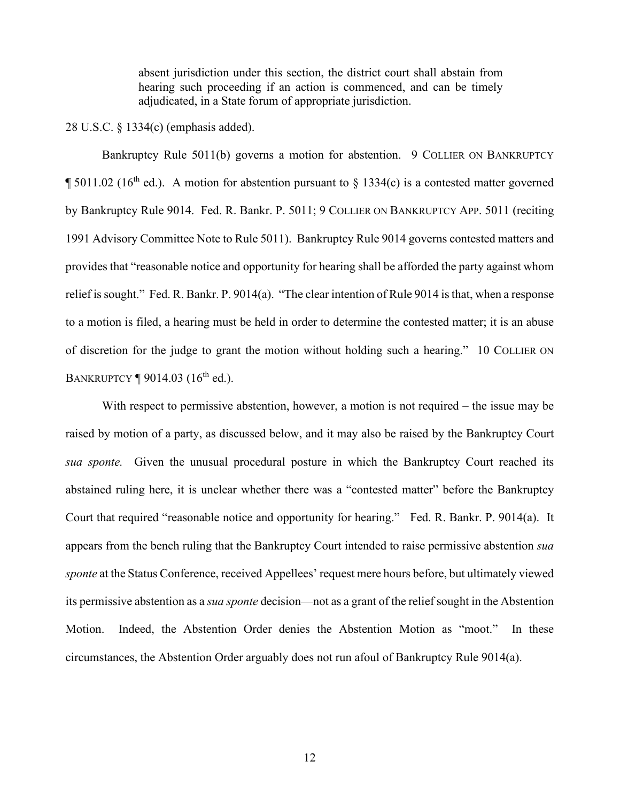absent jurisdiction under this section, the district court shall abstain from hearing such proceeding if an action is commenced, and can be timely adjudicated, in a State forum of appropriate jurisdiction.

#### 28 U.S.C. § 1334(c) (emphasis added).

Bankruptcy Rule 5011(b) governs a motion for abstention. 9 COLLIER ON BANKRUPTCY  $\P 5011.02$  (16<sup>th</sup> ed.). A motion for abstention pursuant to § 1334(c) is a contested matter governed by Bankruptcy Rule 9014. Fed. R. Bankr. P. 5011; 9 COLLIER ON BANKRUPTCY APP. 5011 (reciting 1991 Advisory Committee Note to Rule 5011). Bankruptcy Rule 9014 governs contested matters and provides that "reasonable notice and opportunity for hearing shall be afforded the party against whom relief is sought." Fed. R. Bankr. P. 9014(a). "The clear intention of Rule 9014 is that, when a response to a motion is filed, a hearing must be held in order to determine the contested matter; it is an abuse of discretion for the judge to grant the motion without holding such a hearing." 10 COLLIER ON BANKRUPTCY  $\P$  9014.03 (16<sup>th</sup> ed.).

With respect to permissive abstention, however, a motion is not required – the issue may be raised by motion of a party, as discussed below, and it may also be raised by the Bankruptcy Court *sua sponte.* Given the unusual procedural posture in which the Bankruptcy Court reached its abstained ruling here, it is unclear whether there was a "contested matter" before the Bankruptcy Court that required "reasonable notice and opportunity for hearing." Fed. R. Bankr. P. 9014(a). It appears from the bench ruling that the Bankruptcy Court intended to raise permissive abstention *sua sponte* at the Status Conference, received Appellees' request mere hours before, but ultimately viewed its permissive abstention as a *sua sponte* decision—not as a grant of the relief sought in the Abstention Motion. Indeed, the Abstention Order denies the Abstention Motion as "moot." In these circumstances, the Abstention Order arguably does not run afoul of Bankruptcy Rule 9014(a).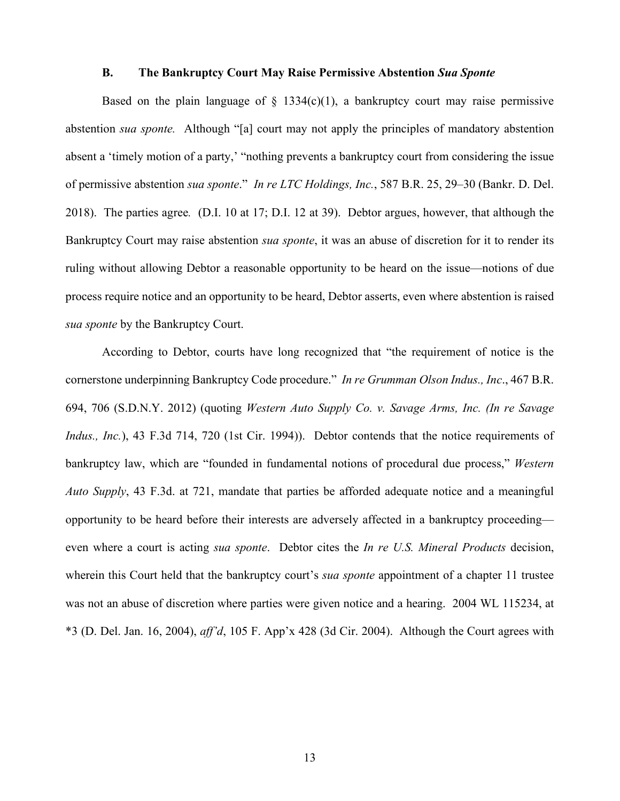#### **B. The Bankruptcy Court May Raise Permissive Abstention** *Sua Sponte*

Based on the plain language of  $\S$  1334(c)(1), a bankruptcy court may raise permissive abstention *sua sponte.* Although "[a] court may not apply the principles of mandatory abstention absent a 'timely motion of a party,' "nothing prevents a bankruptcy court from considering the issue of permissive abstention *sua sponte*." *In re LTC Holdings, Inc.*, 587 B.R. 25, 29–30 (Bankr. D. Del. 2018). The parties agree*.* (D.I. 10 at 17; D.I. 12 at 39). Debtor argues, however, that although the Bankruptcy Court may raise abstention *sua sponte*, it was an abuse of discretion for it to render its ruling without allowing Debtor a reasonable opportunity to be heard on the issue—notions of due process require notice and an opportunity to be heard, Debtor asserts, even where abstention is raised *sua sponte* by the Bankruptcy Court.

According to Debtor, courts have long recognized that "the requirement of notice is the cornerstone underpinning Bankruptcy Code procedure." *In re Grumman Olson Indus., Inc*., 467 B.R. 694, 706 (S.D.N.Y. 2012) (quoting *Western Auto Supply Co. v. Savage Arms, Inc. (In re Savage Indus., Inc.*), 43 F.3d 714, 720 (1st Cir. 1994)). Debtor contends that the notice requirements of bankruptcy law, which are "founded in fundamental notions of procedural due process," *Western Auto Supply*, 43 F.3d. at 721, mandate that parties be afforded adequate notice and a meaningful opportunity to be heard before their interests are adversely affected in a bankruptcy proceeding even where a court is acting *sua sponte*. Debtor cites the *In re U.S. Mineral Products* decision, wherein this Court held that the bankruptcy court's *sua sponte* appointment of a chapter 11 trustee was not an abuse of discretion where parties were given notice and a hearing. 2004 WL 115234, at \*3 (D. Del. Jan. 16, 2004), *aff'd*, 105 F. App'x 428 (3d Cir. 2004). Although the Court agrees with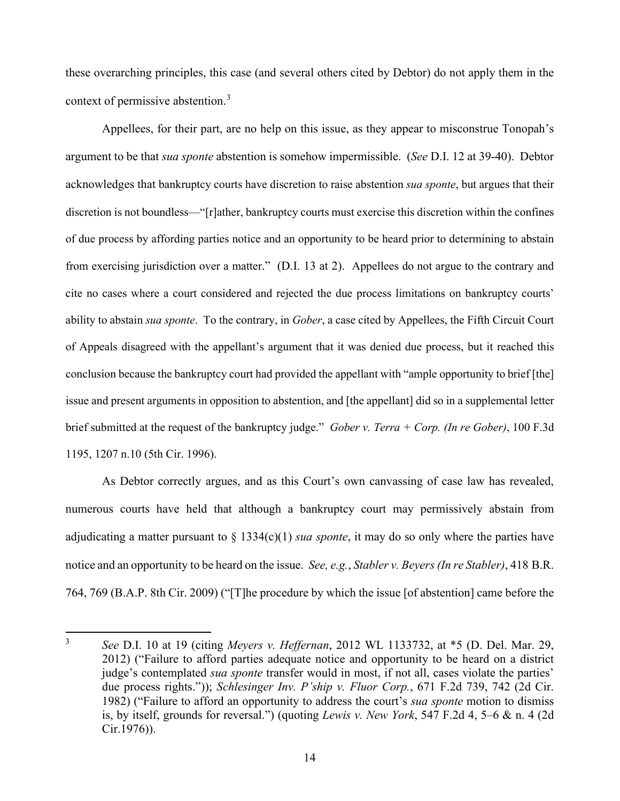these overarching principles, this case (and several others cited by Debtor) do not apply them in the context of permissive abstention.[3](#page-14-0)

Appellees, for their part, are no help on this issue, as they appear to misconstrue Tonopah's argument to be that *sua sponte* abstention is somehow impermissible. (*See* D.I. 12 at 39-40). Debtor acknowledges that bankruptcy courts have discretion to raise abstention *sua sponte*, but argues that their discretion is not boundless—"[r]ather, bankruptcy courts must exercise this discretion within the confines of due process by affording parties notice and an opportunity to be heard prior to determining to abstain from exercising jurisdiction over a matter." (D.I. 13 at 2). Appellees do not argue to the contrary and cite no cases where a court considered and rejected the due process limitations on bankruptcy courts' ability to abstain *sua sponte*. To the contrary, in *Gober*, a case cited by Appellees, the Fifth Circuit Court of Appeals disagreed with the appellant's argument that it was denied due process, but it reached this conclusion because the bankruptcy court had provided the appellant with "ample opportunity to brief [the] issue and present arguments in opposition to abstention, and [the appellant] did so in a supplemental letter brief submitted at the request of the bankruptcy judge." *Gober v. Terra + Corp. (In re Gober)*, 100 F.3d 1195, 1207 n.10 (5th Cir. 1996).

As Debtor correctly argues, and as this Court's own canvassing of case law has revealed, numerous courts have held that although a bankruptcy court may permissively abstain from adjudicating a matter pursuant to  $\S 1334(c)(1)$  *sua sponte*, it may do so only where the parties have notice and an opportunity to be heard on the issue. *See, e.g.*, *Stabler v. Beyers (In re Stabler)*, 418 B.R. 764, 769 (B.A.P. 8th Cir. 2009) ("[T]he procedure by which the issue [of abstention] came before the

<span id="page-14-0"></span><sup>3</sup> *See* D.I. 10 at 19 (citing *Meyers v. Heffernan*, 2012 WL 1133732, at \*5 (D. Del. Mar. 29, 2012) ("Failure to afford parties adequate notice and opportunity to be heard on a district judge's contemplated *sua sponte* transfer would in most, if not all, cases violate the parties' due process rights.")); *Schlesinger Inv. P'ship v. Fluor Corp.*, 671 F.2d 739, 742 (2d Cir. 1982) ("Failure to afford an opportunity to address the court's *sua sponte* motion to dismiss is, by itself, grounds for reversal.") (quoting *Lewis v. New York*, 547 F.2d 4, 5–6 & n. 4 (2d Cir.1976)).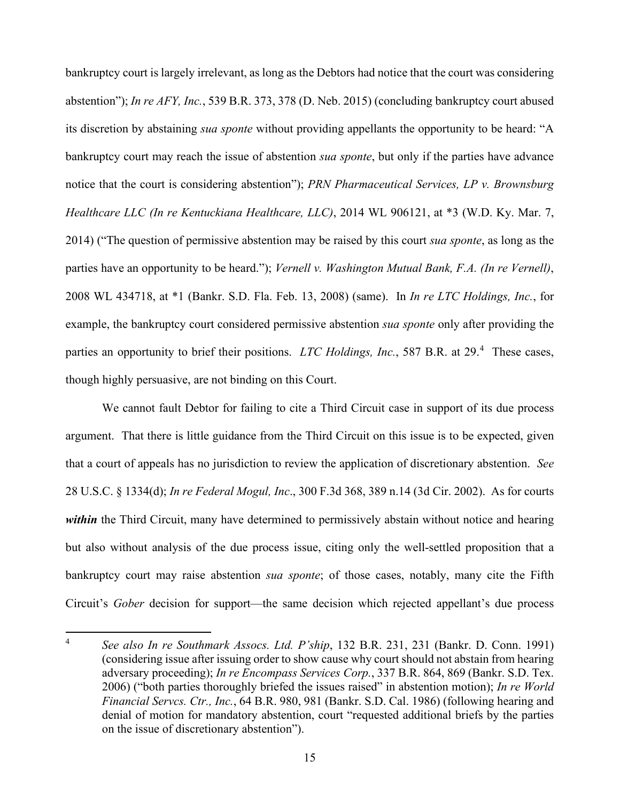bankruptcy court is largely irrelevant, as long as the Debtors had notice that the court was considering abstention"); *In re AFY, Inc.*, 539 B.R. 373, 378 (D. Neb. 2015) (concluding bankruptcy court abused its discretion by abstaining *sua sponte* without providing appellants the opportunity to be heard: "A bankruptcy court may reach the issue of abstention *sua sponte*, but only if the parties have advance notice that the court is considering abstention"); *PRN Pharmaceutical Services, LP v. Brownsburg Healthcare LLC (In re Kentuckiana Healthcare, LLC)*, 2014 WL 906121, at \*3 (W.D. Ky. Mar. 7, 2014) ("The question of permissive abstention may be raised by this court *sua sponte*, as long as the parties have an opportunity to be heard."); *Vernell v. Washington Mutual Bank, F.A. (In re Vernell)*, 2008 WL 434718, at \*1 (Bankr. S.D. Fla. Feb. 13, 2008) (same). In *In re LTC Holdings, Inc.*, for example, the bankruptcy court considered permissive abstention *sua sponte* only after providing the parties an opportunity to brief their positions. *LTC Holdings, Inc.*, 587 B.R. at 29. [4](#page-15-0) These cases, though highly persuasive, are not binding on this Court.

We cannot fault Debtor for failing to cite a Third Circuit case in support of its due process argument. That there is little guidance from the Third Circuit on this issue is to be expected, given that a court of appeals has no jurisdiction to review the application of discretionary abstention. *See*  28 U.S.C. § 1334(d); *In re Federal Mogul, Inc*., 300 F.3d 368, 389 n.14 (3d Cir. 2002). As for courts *within* the Third Circuit, many have determined to permissively abstain without notice and hearing but also without analysis of the due process issue, citing only the well-settled proposition that a bankruptcy court may raise abstention *sua sponte*; of those cases, notably, many cite the Fifth Circuit's *Gober* decision for support—the same decision which rejected appellant's due process

<span id="page-15-0"></span><sup>4</sup> *See also In re Southmark Assocs. Ltd. P'ship*, 132 B.R. 231, 231 (Bankr. D. Conn. 1991) (considering issue after issuing order to show cause why court should not abstain from hearing adversary proceeding); *In re Encompass Services Corp.*, 337 B.R. 864, 869 (Bankr. S.D. Tex. 2006) ("both parties thoroughly briefed the issues raised" in abstention motion); *In re World Financial Servcs. Ctr., Inc.*, 64 B.R. 980, 981 (Bankr. S.D. Cal. 1986) (following hearing and denial of motion for mandatory abstention, court "requested additional briefs by the parties on the issue of discretionary abstention").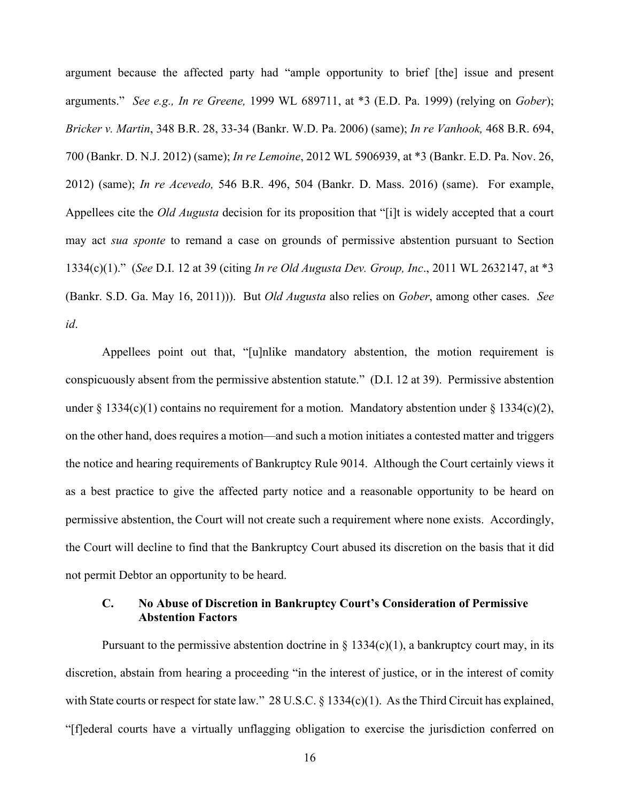argument because the affected party had "ample opportunity to brief [the] issue and present arguments." *See e.g., In re Greene,* 1999 WL 689711, at \*3 (E.D. Pa. 1999) (relying on *Gober*); *Bricker v. Martin*, 348 B.R. 28, 33-34 (Bankr. W.D. Pa. 2006) (same); *In re Vanhook,* 468 B.R. 694, 700 (Bankr. D. N.J. 2012) (same); *In re Lemoine*, 2012 WL 5906939, at \*3 (Bankr. E.D. Pa. Nov. 26, 2012) (same); *In re Acevedo,* 546 B.R. 496, 504 (Bankr. D. Mass. 2016) (same). For example, Appellees cite the *Old Augusta* decision for its proposition that "[i]t is widely accepted that a court may act *sua sponte* to remand a case on grounds of permissive abstention pursuant to Section 1334(c)(1)." (*See* D.I. 12 at 39 (citing *In re Old Augusta Dev. Group, Inc*., 2011 WL 2632147, at \*3 (Bankr. S.D. Ga. May 16, 2011))). But *Old Augusta* also relies on *Gober*, among other cases. *See id*.

Appellees point out that, "[u]nlike mandatory abstention, the motion requirement is conspicuously absent from the permissive abstention statute." (D.I. 12 at 39). Permissive abstention under  $\S 1334(c)(1)$  contains no requirement for a motion. Mandatory abstention under  $\S 1334(c)(2)$ , on the other hand, does requires a motion—and such a motion initiates a contested matter and triggers the notice and hearing requirements of Bankruptcy Rule 9014. Although the Court certainly views it as a best practice to give the affected party notice and a reasonable opportunity to be heard on permissive abstention, the Court will not create such a requirement where none exists. Accordingly, the Court will decline to find that the Bankruptcy Court abused its discretion on the basis that it did not permit Debtor an opportunity to be heard.

# **C. No Abuse of Discretion in Bankruptcy Court's Consideration of Permissive Abstention Factors**

Pursuant to the permissive abstention doctrine in  $\S$  1334(c)(1), a bankruptcy court may, in its discretion, abstain from hearing a proceeding "in the interest of justice, or in the interest of comity with State courts or respect for state law." 28 U.S.C. § 1334(c)(1). As the Third Circuit has explained, "[f]ederal courts have a virtually unflagging obligation to exercise the jurisdiction conferred on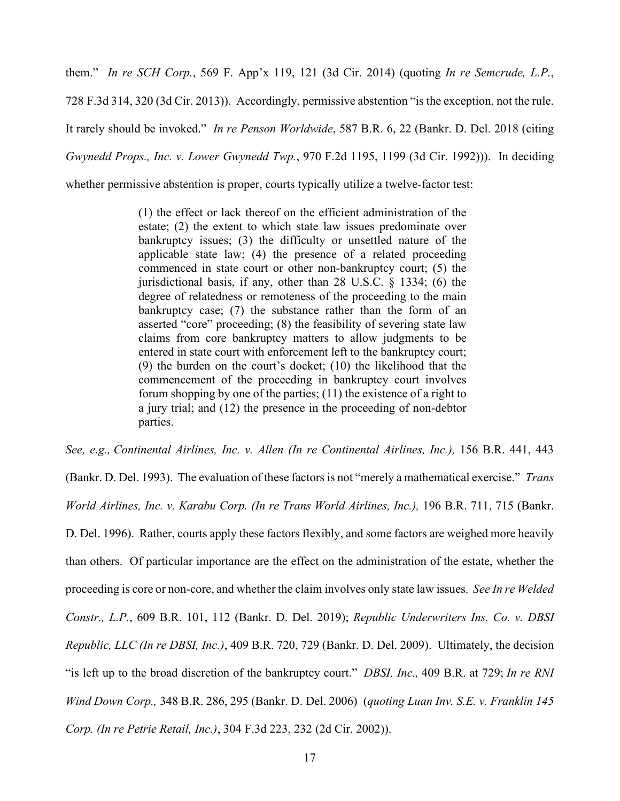them." *In re SCH Corp.*, 569 F. App'x 119, 121 (3d Cir. 2014) (quoting *In re Semcrude, L.P.*, 728 F.3d 314, 320 (3d Cir. 2013)). Accordingly, permissive abstention "is the exception, not the rule. It rarely should be invoked." *In re Penson Worldwide*, 587 B.R. 6, 22 (Bankr. D. Del. 2018 (citing *Gwynedd Props., Inc. v. Lower Gwynedd Twp.*, 970 F.2d 1195, 1199 (3d Cir. 1992))). In deciding

whether permissive abstention is proper, courts typically utilize a twelve-factor test:

(1) the effect or lack thereof on the efficient administration of the estate; (2) the extent to which state law issues predominate over bankruptcy issues; (3) the difficulty or unsettled nature of the applicable state law; (4) the presence of a related proceeding commenced in state court or other non-bankruptcy court; (5) the jurisdictional basis, if any, other than 28 U.S.C. § 1334; (6) the degree of relatedness or remoteness of the proceeding to the main bankruptcy case; (7) the substance rather than the form of an asserted "core" proceeding; (8) the feasibility of severing state law claims from core bankruptcy matters to allow judgments to be entered in state court with enforcement left to the bankruptcy court; (9) the burden on the court's docket; (10) the likelihood that the commencement of the proceeding in bankruptcy court involves forum shopping by one of the parties; (11) the existence of a right to a jury trial; and (12) the presence in the proceeding of non-debtor parties.

*See, e.g., Continental Airlines, Inc. v. Allen (In re Continental Airlines, Inc.),* 156 B.R. 441, 443

(Bankr. D. Del. 1993). The evaluation of these factors is not "merely a mathematical exercise." *Trans World Airlines, Inc. v. Karabu Corp. (In re Trans World Airlines, Inc.),* 196 B.R. 711, 715 (Bankr. D. Del. 1996). Rather, courts apply these factors flexibly, and some factors are weighed more heavily than others. Of particular importance are the effect on the administration of the estate, whether the proceeding is core or non-core, and whether the claim involves only state law issues. *See In re Welded Constr., L.P.*, 609 B.R. 101, 112 (Bankr. D. Del. 2019); *Republic Underwriters Ins. Co. v. DBSI Republic, LLC (In re DBSI, Inc.)*, 409 B.R. 720, 729 (Bankr. D. Del. 2009). Ultimately, the decision "is left up to the broad discretion of the bankruptcy court." *DBSI, Inc.,* 409 B.R. at 729; *In re RNI Wind Down Corp.,* 348 B.R. 286, 295 (Bankr. D. Del. 2006) (*quoting Luan Inv. S.E. v. Franklin 145 Corp. (In re Petrie Retail, Inc.)*, 304 F.3d 223, 232 (2d Cir. 2002)).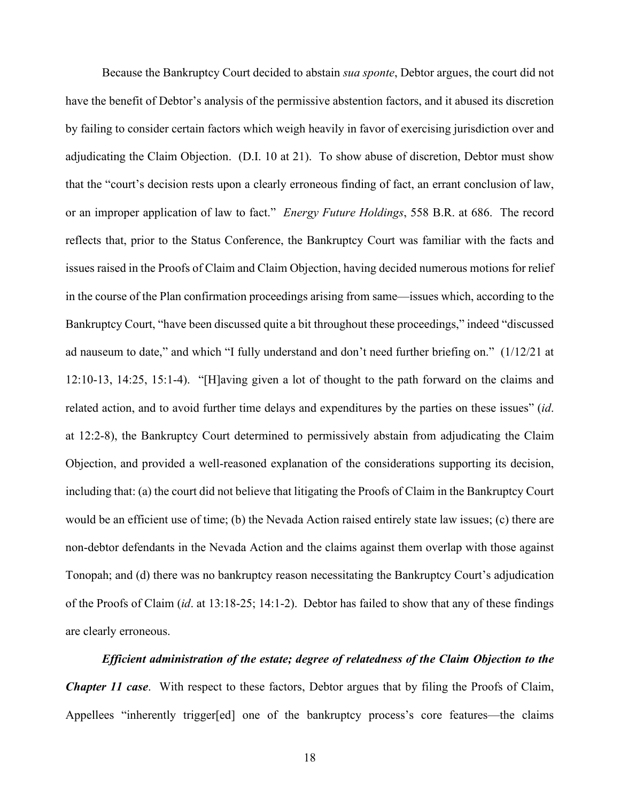Because the Bankruptcy Court decided to abstain *sua sponte*, Debtor argues, the court did not have the benefit of Debtor's analysis of the permissive abstention factors, and it abused its discretion by failing to consider certain factors which weigh heavily in favor of exercising jurisdiction over and adjudicating the Claim Objection. (D.I. 10 at 21). To show abuse of discretion, Debtor must show that the "court's decision rests upon a clearly erroneous finding of fact, an errant conclusion of law, or an improper application of law to fact." *Energy Future Holdings*, 558 B.R. at 686. The record reflects that, prior to the Status Conference, the Bankruptcy Court was familiar with the facts and issues raised in the Proofs of Claim and Claim Objection, having decided numerous motions for relief in the course of the Plan confirmation proceedings arising from same—issues which, according to the Bankruptcy Court, "have been discussed quite a bit throughout these proceedings," indeed "discussed ad nauseum to date," and which "I fully understand and don't need further briefing on." (1/12/21 at 12:10-13, 14:25, 15:1-4). "[H]aving given a lot of thought to the path forward on the claims and related action, and to avoid further time delays and expenditures by the parties on these issues" (*id*. at 12:2-8), the Bankruptcy Court determined to permissively abstain from adjudicating the Claim Objection, and provided a well-reasoned explanation of the considerations supporting its decision, including that: (a) the court did not believe that litigating the Proofs of Claim in the Bankruptcy Court would be an efficient use of time; (b) the Nevada Action raised entirely state law issues; (c) there are non-debtor defendants in the Nevada Action and the claims against them overlap with those against Tonopah; and (d) there was no bankruptcy reason necessitating the Bankruptcy Court's adjudication of the Proofs of Claim (*id*. at 13:18-25; 14:1-2). Debtor has failed to show that any of these findings are clearly erroneous.

*Efficient administration of the estate; degree of relatedness of the Claim Objection to the Chapter 11 case*. With respect to these factors, Debtor argues that by filing the Proofs of Claim, Appellees "inherently trigger[ed] one of the bankruptcy process's core features—the claims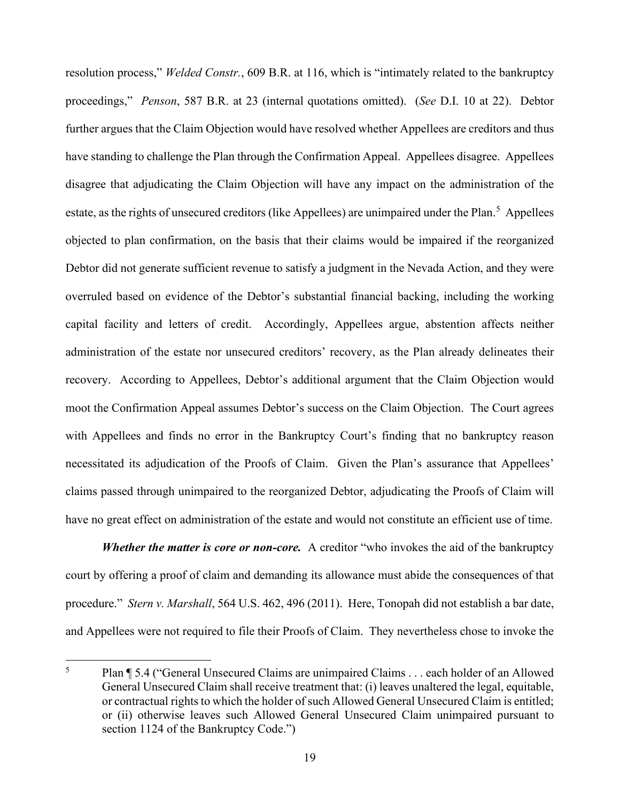resolution process," *Welded Constr.*, 609 B.R. at 116, which is "intimately related to the bankruptcy proceedings," *Penson*, 587 B.R. at 23 (internal quotations omitted). (*See* D.I. 10 at 22). Debtor further argues that the Claim Objection would have resolved whether Appellees are creditors and thus have standing to challenge the Plan through the Confirmation Appeal. Appellees disagree. Appellees disagree that adjudicating the Claim Objection will have any impact on the administration of the estate, as the rights of unsecured creditors (like Appellees) are unimpaired under the Plan.<sup>[5](#page-19-0)</sup> Appellees objected to plan confirmation, on the basis that their claims would be impaired if the reorganized Debtor did not generate sufficient revenue to satisfy a judgment in the Nevada Action, and they were overruled based on evidence of the Debtor's substantial financial backing, including the working capital facility and letters of credit. Accordingly, Appellees argue, abstention affects neither administration of the estate nor unsecured creditors' recovery, as the Plan already delineates their recovery. According to Appellees, Debtor's additional argument that the Claim Objection would moot the Confirmation Appeal assumes Debtor's success on the Claim Objection. The Court agrees with Appellees and finds no error in the Bankruptcy Court's finding that no bankruptcy reason necessitated its adjudication of the Proofs of Claim. Given the Plan's assurance that Appellees' claims passed through unimpaired to the reorganized Debtor, adjudicating the Proofs of Claim will have no great effect on administration of the estate and would not constitute an efficient use of time.

*Whether the matter is core or non-core.* A creditor "who invokes the aid of the bankruptcy court by offering a proof of claim and demanding its allowance must abide the consequences of that procedure." *Stern v. Marshall*, 564 U.S. 462, 496 (2011). Here, Tonopah did not establish a bar date, and Appellees were not required to file their Proofs of Claim. They nevertheless chose to invoke the

<span id="page-19-0"></span><sup>5</sup> Plan ¶ 5.4 ("General Unsecured Claims are unimpaired Claims . . . each holder of an Allowed General Unsecured Claim shall receive treatment that: (i) leaves unaltered the legal, equitable, or contractual rights to which the holder of such Allowed General Unsecured Claim is entitled; or (ii) otherwise leaves such Allowed General Unsecured Claim unimpaired pursuant to section 1124 of the Bankruptcy Code.")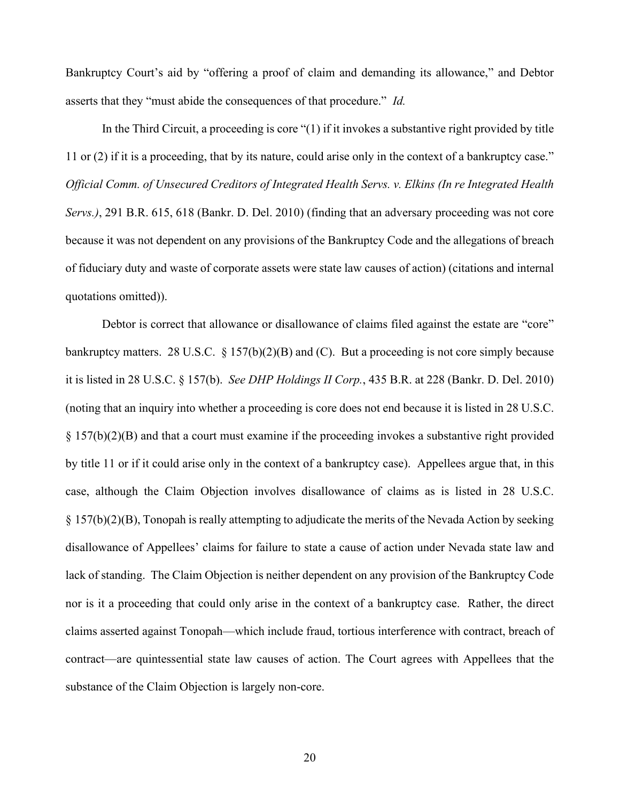Bankruptcy Court's aid by "offering a proof of claim and demanding its allowance," and Debtor asserts that they "must abide the consequences of that procedure." *Id.* 

In the Third Circuit, a proceeding is core "(1) if it invokes a substantive right provided by title 11 or (2) if it is a proceeding, that by its nature, could arise only in the context of a bankruptcy case." *Official Comm. of Unsecured Creditors of Integrated Health Servs. v. Elkins (In re Integrated Health Servs.)*, 291 B.R. 615, 618 (Bankr. D. Del. 2010) (finding that an adversary proceeding was not core because it was not dependent on any provisions of the Bankruptcy Code and the allegations of breach of fiduciary duty and waste of corporate assets were state law causes of action) (citations and internal quotations omitted)).

Debtor is correct that allowance or disallowance of claims filed against the estate are "core" bankruptcy matters. 28 U.S.C. § 157(b)(2)(B) and (C). But a proceeding is not core simply because it is listed in 28 U.S.C. § 157(b). *See DHP Holdings II Corp.*, 435 B.R. at 228 (Bankr. D. Del. 2010) (noting that an inquiry into whether a proceeding is core does not end because it is listed in 28 U.S.C. § 157(b)(2)(B) and that a court must examine if the proceeding invokes a substantive right provided by title 11 or if it could arise only in the context of a bankruptcy case). Appellees argue that, in this case, although the Claim Objection involves disallowance of claims as is listed in 28 U.S.C. § 157(b)(2)(B), Tonopah is really attempting to adjudicate the merits of the Nevada Action by seeking disallowance of Appellees' claims for failure to state a cause of action under Nevada state law and lack of standing. The Claim Objection is neither dependent on any provision of the Bankruptcy Code nor is it a proceeding that could only arise in the context of a bankruptcy case. Rather, the direct claims asserted against Tonopah—which include fraud, tortious interference with contract, breach of contract—are quintessential state law causes of action. The Court agrees with Appellees that the substance of the Claim Objection is largely non-core.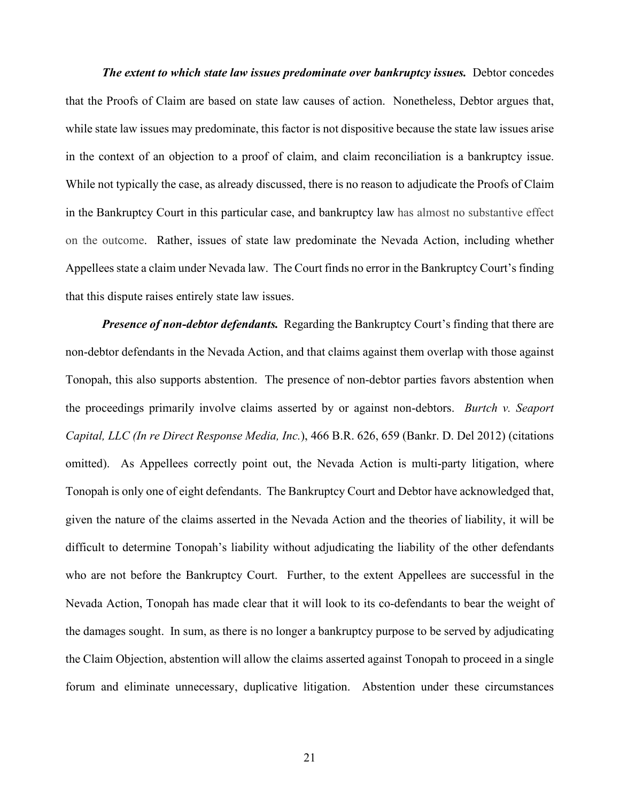*The extent to which state law issues predominate over bankruptcy issues.* Debtor concedes that the Proofs of Claim are based on state law causes of action. Nonetheless, Debtor argues that, while state law issues may predominate, this factor is not dispositive because the state law issues arise in the context of an objection to a proof of claim, and claim reconciliation is a bankruptcy issue. While not typically the case, as already discussed, there is no reason to adjudicate the Proofs of Claim in the Bankruptcy Court in this particular case, and bankruptcy law has almost no substantive effect on the outcome. Rather, issues of state law predominate the Nevada Action, including whether Appellees state a claim under Nevada law. The Court finds no error in the Bankruptcy Court's finding that this dispute raises entirely state law issues.

*Presence of non-debtor defendants.* Regarding the Bankruptcy Court's finding that there are non-debtor defendants in the Nevada Action, and that claims against them overlap with those against Tonopah, this also supports abstention. The presence of non-debtor parties favors abstention when the proceedings primarily involve claims asserted by or against non-debtors. *Burtch v. Seaport Capital, LLC (In re Direct Response Media, Inc.*), 466 B.R. 626, 659 (Bankr. D. Del 2012) (citations omitted). As Appellees correctly point out, the Nevada Action is multi-party litigation, where Tonopah is only one of eight defendants. The Bankruptcy Court and Debtor have acknowledged that, given the nature of the claims asserted in the Nevada Action and the theories of liability, it will be difficult to determine Tonopah's liability without adjudicating the liability of the other defendants who are not before the Bankruptcy Court. Further, to the extent Appellees are successful in the Nevada Action, Tonopah has made clear that it will look to its co-defendants to bear the weight of the damages sought. In sum, as there is no longer a bankruptcy purpose to be served by adjudicating the Claim Objection, abstention will allow the claims asserted against Tonopah to proceed in a single forum and eliminate unnecessary, duplicative litigation. Abstention under these circumstances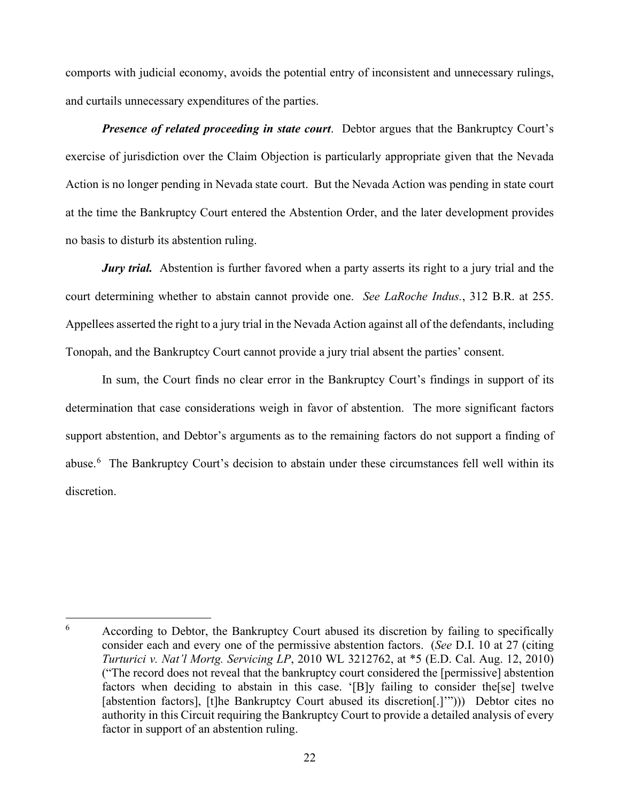comports with judicial economy, avoids the potential entry of inconsistent and unnecessary rulings, and curtails unnecessary expenditures of the parties.

*Presence of related proceeding in state court.* Debtor argues that the Bankruptcy Court's exercise of jurisdiction over the Claim Objection is particularly appropriate given that the Nevada Action is no longer pending in Nevada state court. But the Nevada Action was pending in state court at the time the Bankruptcy Court entered the Abstention Order, and the later development provides no basis to disturb its abstention ruling.

*Jury trial.* Abstention is further favored when a party asserts its right to a jury trial and the court determining whether to abstain cannot provide one. *See LaRoche Indus.*, 312 B.R. at 255. Appellees asserted the right to a jury trial in the Nevada Action against all of the defendants, including Tonopah, and the Bankruptcy Court cannot provide a jury trial absent the parties' consent.

In sum, the Court finds no clear error in the Bankruptcy Court's findings in support of its determination that case considerations weigh in favor of abstention. The more significant factors support abstention, and Debtor's arguments as to the remaining factors do not support a finding of abuse.<sup>[6](#page-22-0)</sup> The Bankruptcy Court's decision to abstain under these circumstances fell well within its discretion.

<span id="page-22-0"></span> $6$  According to Debtor, the Bankruptcy Court abused its discretion by failing to specifically consider each and every one of the permissive abstention factors. (*See* D.I. 10 at 27 (citing *Turturici v. Nat'l Mortg. Servicing LP*, 2010 WL 3212762, at \*5 (E.D. Cal. Aug. 12, 2010) ("The record does not reveal that the bankruptcy court considered the [permissive] abstention factors when deciding to abstain in this case. '[B]y failing to consider the[se] twelve [abstention factors], [t]he Bankruptcy Court abused its discretion[.]'"))) Debtor cites no authority in this Circuit requiring the Bankruptcy Court to provide a detailed analysis of every factor in support of an abstention ruling.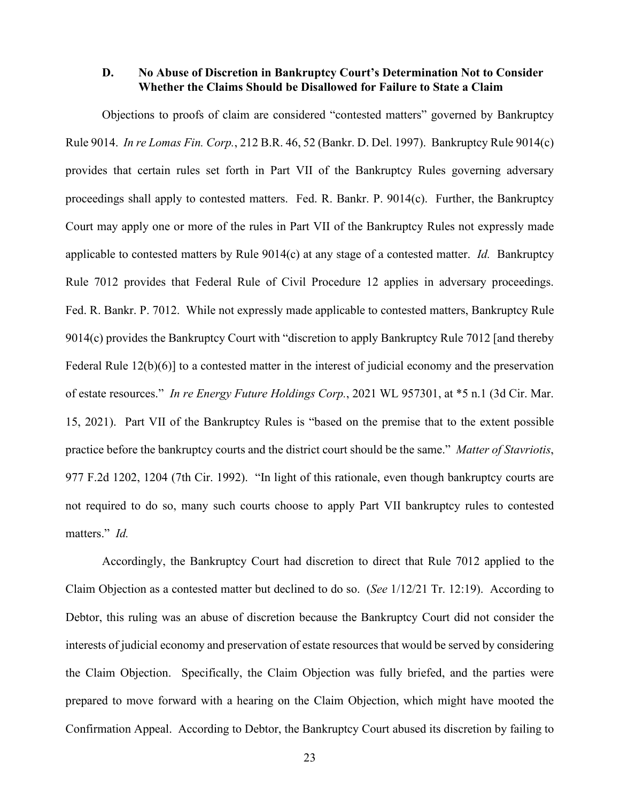### **D. No Abuse of Discretion in Bankruptcy Court's Determination Not to Consider Whether the Claims Should be Disallowed for Failure to State a Claim**

Objections to proofs of claim are considered "contested matters" governed by Bankruptcy Rule 9014. *In re Lomas Fin. Corp.*, 212 B.R. 46, 52 (Bankr. D. Del. 1997). Bankruptcy Rule 9014(c) provides that certain rules set forth in Part VII of the Bankruptcy Rules governing adversary proceedings shall apply to contested matters. Fed. R. Bankr. P. 9014(c). Further, the Bankruptcy Court may apply one or more of the rules in Part VII of the Bankruptcy Rules not expressly made applicable to contested matters by Rule 9014(c) at any stage of a contested matter. *Id.* Bankruptcy Rule 7012 provides that Federal Rule of Civil Procedure 12 applies in adversary proceedings. Fed. R. Bankr. P. 7012. While not expressly made applicable to contested matters, Bankruptcy Rule 9014(c) provides the Bankruptcy Court with "discretion to apply Bankruptcy Rule 7012 [and thereby Federal Rule 12(b)(6)] to a contested matter in the interest of judicial economy and the preservation of estate resources." *In re Energy Future Holdings Corp.*, 2021 WL 957301, at \*5 n.1 (3d Cir. Mar. 15, 2021). Part VII of the Bankruptcy Rules is "based on the premise that to the extent possible practice before the bankruptcy courts and the district court should be the same." *Matter of Stavriotis*, 977 F.2d 1202, 1204 (7th Cir. 1992). "In light of this rationale, even though bankruptcy courts are not required to do so, many such courts choose to apply Part VII bankruptcy rules to contested matters." *Id.*

Accordingly, the Bankruptcy Court had discretion to direct that Rule 7012 applied to the Claim Objection as a contested matter but declined to do so. (*See* 1/12/21 Tr. 12:19). According to Debtor, this ruling was an abuse of discretion because the Bankruptcy Court did not consider the interests of judicial economy and preservation of estate resources that would be served by considering the Claim Objection. Specifically, the Claim Objection was fully briefed, and the parties were prepared to move forward with a hearing on the Claim Objection, which might have mooted the Confirmation Appeal. According to Debtor, the Bankruptcy Court abused its discretion by failing to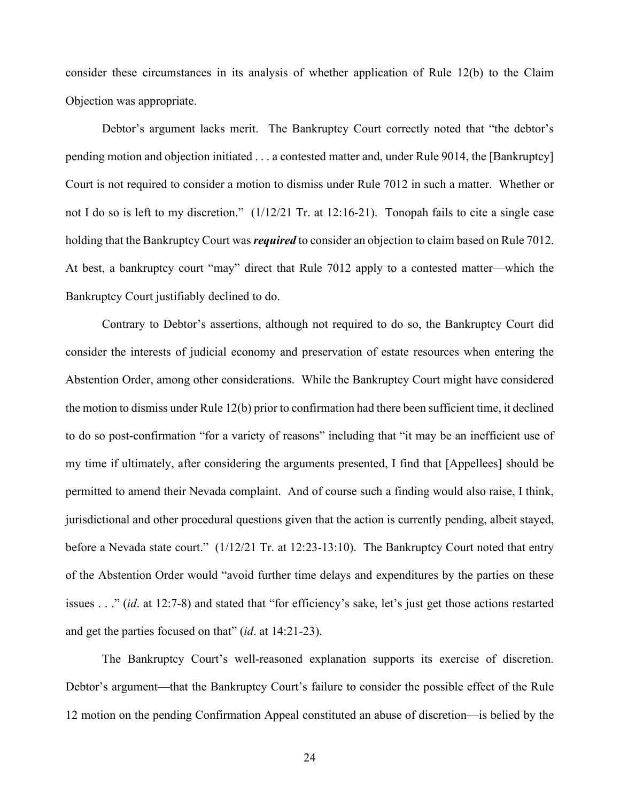consider these circumstances in its analysis of whether application of Rule 12(b) to the Claim Objection was appropriate.

Debtor's argument lacks merit. The Bankruptcy Court correctly noted that "the debtor's pending motion and objection initiated . . . a contested matter and, under Rule 9014, the [Bankruptcy] Court is not required to consider a motion to dismiss under Rule 7012 in such a matter. Whether or not I do so is left to my discretion." (1/12/21 Tr. at 12:16-21). Tonopah fails to cite a single case holding that the Bankruptcy Court was *required* to consider an objection to claim based on Rule 7012. At best, a bankruptcy court "may" direct that Rule 7012 apply to a contested matter—which the Bankruptcy Court justifiably declined to do.

Contrary to Debtor's assertions, although not required to do so, the Bankruptcy Court did consider the interests of judicial economy and preservation of estate resources when entering the Abstention Order, among other considerations. While the Bankruptcy Court might have considered the motion to dismiss under Rule 12(b) prior to confirmation had there been sufficient time, it declined to do so post-confirmation "for a variety of reasons" including that "it may be an inefficient use of my time if ultimately, after considering the arguments presented, I find that [Appellees] should be permitted to amend their Nevada complaint. And of course such a finding would also raise, I think, jurisdictional and other procedural questions given that the action is currently pending, albeit stayed, before a Nevada state court." (1/12/21 Tr. at 12:23-13:10). The Bankruptcy Court noted that entry of the Abstention Order would "avoid further time delays and expenditures by the parties on these issues . . ." (*id*. at 12:7-8) and stated that "for efficiency's sake, let's just get those actions restarted and get the parties focused on that" (*id*. at 14:21-23).

The Bankruptcy Court's well-reasoned explanation supports its exercise of discretion. Debtor's argument—that the Bankruptcy Court's failure to consider the possible effect of the Rule 12 motion on the pending Confirmation Appeal constituted an abuse of discretion—is belied by the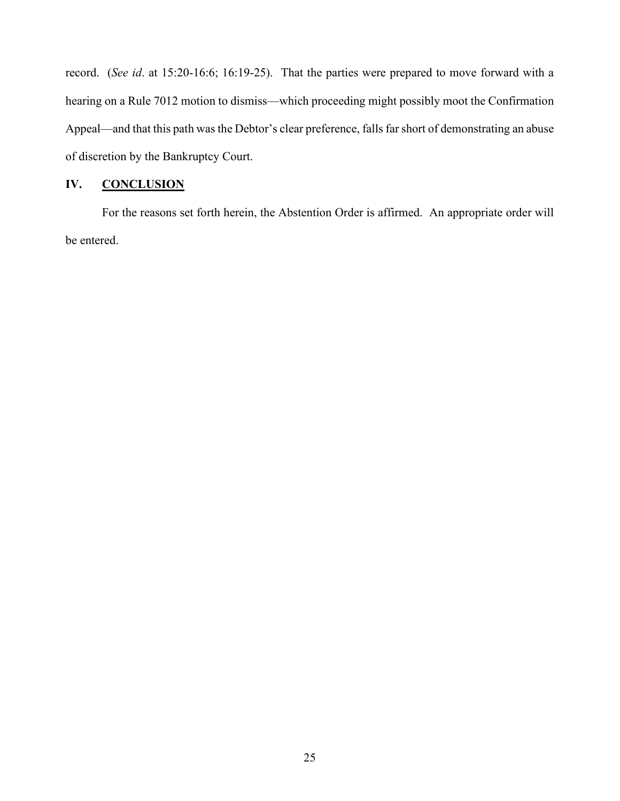record. (*See id*. at 15:20-16:6; 16:19-25). That the parties were prepared to move forward with a hearing on a Rule 7012 motion to dismiss—which proceeding might possibly moot the Confirmation Appeal—and that this path was the Debtor's clear preference, falls far short of demonstrating an abuse of discretion by the Bankruptcy Court.

# **IV. CONCLUSION**

For the reasons set forth herein, the Abstention Order is affirmed. An appropriate order will be entered.